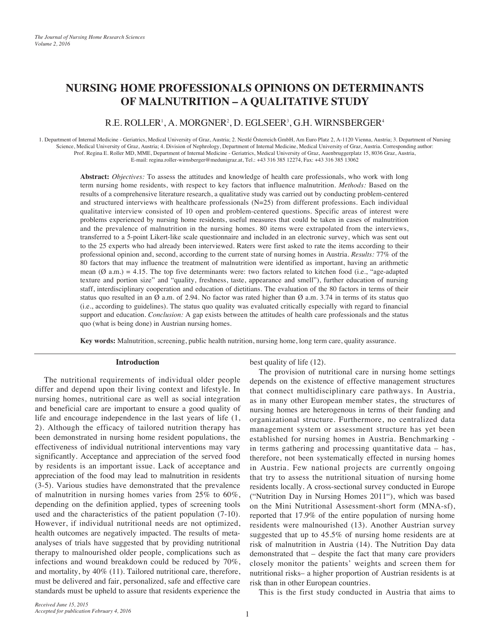# **NURSING HOME PROFESSIONALS OPINIONS ON DETERMINANTS OF MALNUTRITION – A QUALITATIVE STUDY**

# R.E. ROLLER', A. MORGNER<sup>2</sup>, D. EGLSEER<sup>3</sup>, G.H. WIRNSBERGER<sup>4</sup>

1. Department of Internal Medicine - Geriatrics, Medical University of Graz, Austria; 2. Nestlé Österreich GmbH, Am Euro Platz 2, A-1120 Vienna, Austria; 3. Department of Nursing Science, Medical University of Graz, Austria; 4. Division of Nephrology, Department of Internal Medicine, Medical University of Graz, Austria. Corresponding author: Prof. Regina E. Roller MD, MME, Department of Internal Medicine - Geriatrics, Medical University of Graz, Auenbruggerplatz 15, 8036 Graz, Austria, E-mail: regina.roller-wirnsberger@medunigraz.at, Tel.: +43 316 385 12274, Fax: +43 316 385 13062

**Abstract:** *Objectives:* To assess the attitudes and knowledge of health care professionals, who work with long term nursing home residents, with respect to key factors that influence malnutrition. *Methods:* Based on the results of a comprehensive literature research, a qualitative study was carried out by conducting problem-centered and structured interviews with healthcare professionals (N=25) from different professions. Each individual qualitative interview consisted of 10 open and problem-centered questions. Specific areas of interest were problems experienced by nursing home residents, useful measures that could be taken in cases of malnutrition and the prevalence of malnutrition in the nursing homes. 80 items were extrapolated from the interviews, transferred to a 5-point Likert-like scale questionnaire and included in an electronic survey, which was sent out to the 25 experts who had already been interviewed. Raters were first asked to rate the items according to their professional opinion and, second, according to the current state of nursing homes in Austria. *Results:* 77% of the 80 factors that may influence the treatment of malnutrition were identified as important, having an arithmetic mean  $(\emptyset$  a.m.) = 4.15. The top five determinants were: two factors related to kitchen food (i.e., "age-adapted texture and portion size" and "quality, freshness, taste, appearance and smell"), further education of nursing staff, interdisciplinary cooperation and education of dietitians. The evaluation of the 80 factors in terms of their status quo resulted in an  $\emptyset$  a.m. of 2.94. No factor was rated higher than  $\emptyset$  a.m. 3.74 in terms of its status quo (i.e., according to guidelines). The status quo quality was evaluated critically especially with regard to financial support and education. *Conclusion:* A gap exists between the attitudes of health care professionals and the status quo (what is being done) in Austrian nursing homes.

**Key words:** Malnutrition, screening, public health nutrition, nursing home, long term care, quality assurance.

## **Introduction**

The nutritional requirements of individual older people differ and depend upon their living context and lifestyle. In nursing homes, nutritional care as well as social integration and beneficial care are important to ensure a good quality of life and encourage independence in the last years of life (1, 2). Although the efficacy of tailored nutrition therapy has been demonstrated in nursing home resident populations, the effectiveness of individual nutritional interventions may vary significantly. Acceptance and appreciation of the served food by residents is an important issue. Lack of acceptance and appreciation of the food may lead to malnutrition in residents (3-5). Various studies have demonstrated that the prevalence of malnutrition in nursing homes varies from 25% to 60%, depending on the definition applied, types of screening tools used and the characteristics of the patient population (7-10). However, if individual nutritional needs are not optimized, health outcomes are negatively impacted. The results of metaanalyses of trials have suggested that by providing nutritional therapy to malnourished older people, complications such as infections and wound breakdown could be reduced by 70%, and mortality, by 40% (11). Tailored nutritional care, therefore, must be delivered and fair, personalized, safe and effective care standards must be upheld to assure that residents experience the

best quality of life (12).

The provision of nutritional care in nursing home settings depends on the existence of effective management structures that connect multidisciplinary care pathways. In Austria, as in many other European member states, the structures of nursing homes are heterogenous in terms of their funding and organizational structure. Furthermore, no centralized data management system or assessment structure has yet been established for nursing homes in Austria. Benchmarking in terms gathering and processing quantitative data – has, therefore, not been systematically effected in nursing homes in Austria. Few national projects are currently ongoing that try to assess the nutritional situation of nursing home residents locally. A cross-sectional survey conducted in Europe ("Nutrition Day in Nursing Homes 2011"), which was based on the Mini Nutritional Assessment-short form (MNA-sf), reported that 17.9% of the entire population of nursing home residents were malnourished (13). Another Austrian survey suggested that up to 45.5% of nursing home residents are at risk of malnutrition in Austria (14). The Nutrition Day data demonstrated that – despite the fact that many care providers closely monitor the patients' weights and screen them for nutritional risks– a higher proportion of Austrian residents is at risk than in other European countries.

This is the first study conducted in Austria that aims to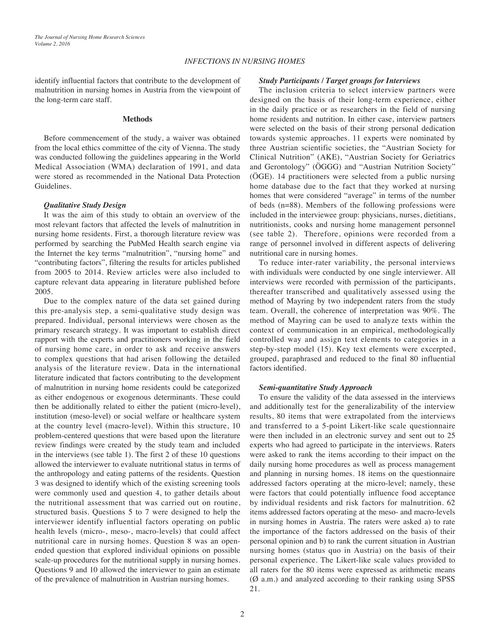### *INFECTIONS IN NURSING HOMES*

identify influential factors that contribute to the development of malnutrition in nursing homes in Austria from the viewpoint of the long-term care staff.

## **Methods**

Before commencement of the study, a waiver was obtained from the local ethics committee of the city of Vienna. The study was conducted following the guidelines appearing in the World Medical Association (WMA) declaration of 1991, and data were stored as recommended in the National Data Protection Guidelines.

#### *Qualitative Study Design*

It was the aim of this study to obtain an overview of the most relevant factors that affected the levels of malnutrition in nursing home residents. First, a thorough literature review was performed by searching the PubMed Health search engine via the Internet the key terms "malnutrition", "nursing home" and "contributing factors", filtering the results for articles published from 2005 to 2014. Review articles were also included to capture relevant data appearing in literature published before 2005.

Due to the complex nature of the data set gained during this pre-analysis step, a semi-qualitative study design was prepared. Individual, personal interviews were chosen as the primary research strategy. It was important to establish direct rapport with the experts and practitioners working in the field of nursing home care, in order to ask and receive answers to complex questions that had arisen following the detailed analysis of the literature review. Data in the international literature indicated that factors contributing to the development of malnutrition in nursing home residents could be categorized as either endogenous or exogenous determinants. These could then be additionally related to either the patient (micro-level), institution (meso-level) or social welfare or healthcare system at the country level (macro-level). Within this structure, 10 problem-centered questions that were based upon the literature review findings were created by the study team and included in the interviews (see table 1). The first 2 of these 10 questions allowed the interviewer to evaluate nutritional status in terms of the anthropology and eating patterns of the residents. Question 3 was designed to identify which of the existing screening tools were commonly used and question 4, to gather details about the nutritional assessment that was carried out on routine, structured basis. Questions 5 to 7 were designed to help the interviewer identify influential factors operating on public health levels (micro-, meso-, macro-levels) that could affect nutritional care in nursing homes. Question 8 was an openended question that explored individual opinions on possible scale-up procedures for the nutritional supply in nursing homes. Questions 9 and 10 allowed the interviewer to gain an estimate of the prevalence of malnutrition in Austrian nursing homes.

#### *Study Participants / Target groups for Interviews*

The inclusion criteria to select interview partners were designed on the basis of their long-term experience, either in the daily practice or as researchers in the field of nursing home residents and nutrition. In either case, interview partners were selected on the basis of their strong personal dedication towards systemic approaches. 11 experts were nominated by three Austrian scientific societies, the "Austrian Society for Clinical Nutrition" (AKE), "Austrian Society for Geriatrics and Gerontology" (ÖGGG) and "Austrian Nutrition Society" (ÖGE). 14 practitioners were selected from a public nursing home database due to the fact that they worked at nursing homes that were considered "average" in terms of the number of beds (n=88). Members of the following professions were included in the interviewee group: physicians, nurses, dietitians, nutritionists, cooks and nursing home management personnel (see table 2). Therefore, opinions were recorded from a range of personnel involved in different aspects of delivering nutritional care in nursing homes.

To reduce inter-rater variability, the personal interviews with individuals were conducted by one single interviewer. All interviews were recorded with permission of the participants, thereafter transcribed and qualitatively assessed using the method of Mayring by two independent raters from the study team. Overall, the coherence of interpretation was 90%. The method of Mayring can be used to analyze texts within the context of communication in an empirical, methodologically controlled way and assign text elements to categories in a step-by-step model (15). Key text elements were excerpted, grouped, paraphrased and reduced to the final 80 influential factors identified.

#### *Semi-quantitative Study Approach*

To ensure the validity of the data assessed in the interviews and additionally test for the generalizability of the interview results, 80 items that were extrapolated from the interviews and transferred to a 5-point Likert-like scale questionnaire were then included in an electronic survey and sent out to 25 experts who had agreed to participate in the interviews. Raters were asked to rank the items according to their impact on the daily nursing home procedures as well as process management and planning in nursing homes. 18 items on the questionnaire addressed factors operating at the micro-level; namely, these were factors that could potentially influence food acceptance by individual residents and risk factors for malnutrition. 62 items addressed factors operating at the meso- and macro-levels in nursing homes in Austria. The raters were asked a) to rate the importance of the factors addressed on the basis of their personal opinion and b) to rank the current situation in Austrian nursing homes (status quo in Austria) on the basis of their personal experience. The Likert-like scale values provided to all raters for the 80 items were expressed as arithmetic means (Ø a.m.) and analyzed according to their ranking using SPSS 21.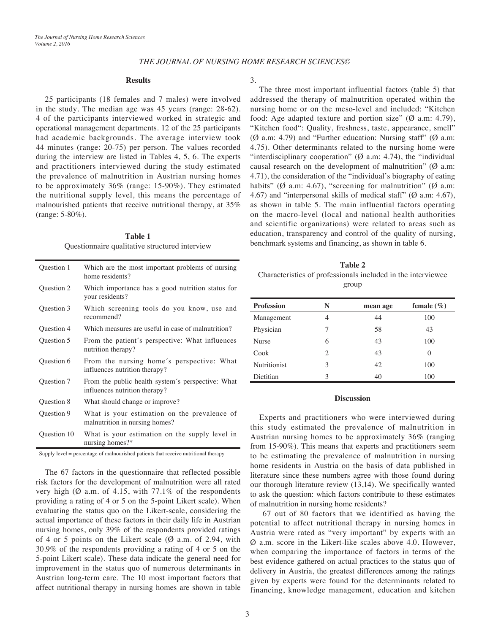## *THE JOURNAL OF NURSING HOME RESEARCH SCIENCES©*

#### **Results**

25 participants (18 females and 7 males) were involved in the study. The median age was 45 years (range: 28-62). 4 of the participants interviewed worked in strategic and operational management departments. 12 of the 25 participants had academic backgrounds. The average interview took 44 minutes (range: 20-75) per person. The values recorded during the interview are listed in Tables 4, 5, 6. The experts and practitioners interviewed during the study estimated the prevalence of malnutrition in Austrian nursing homes to be approximately 36% (range: 15-90%). They estimated the nutritional supply level, this means the percentage of malnourished patients that receive nutritional therapy, at 35% (range: 5-80%).

# **Table 1** Questionnaire qualitative structured interview

| Question 1  | Which are the most important problems of nursing<br>home residents?                |
|-------------|------------------------------------------------------------------------------------|
| Question 2  | Which importance has a good nutrition status for<br>your residents?                |
| Question 3  | Which screening tools do you know, use and<br>recommend?                           |
| Question 4  | Which measures are useful in case of malnutrition?                                 |
| Question 5  | From the patient's perspective: What influences<br>nutrition therapy?              |
| Question 6  | From the nursing home's perspective: What<br>influences nutrition therapy?         |
| Question 7  | From the public health system's perspective: What<br>influences nutrition therapy? |
| Question 8  | What should change or improve?                                                     |
| Question 9  | What is your estimation on the prevalence of<br>malnutrition in nursing homes?     |
| Question 10 | What is your estimation on the supply level in<br>nursing homes?*                  |

Supply level = percentage of malnourished patients that receive nutritional therapy

The 67 factors in the questionnaire that reflected possible risk factors for the development of malnutrition were all rated very high ( $\emptyset$  a.m. of 4.15, with 77.1% of the respondents providing a rating of 4 or 5 on the 5-point Likert scale). When evaluating the status quo on the Likert-scale, considering the actual importance of these factors in their daily life in Austrian nursing homes, only 39% of the respondents provided ratings of 4 or 5 points on the Likert scale  $(\emptyset$  a.m. of 2.94, with 30.9% of the respondents providing a rating of 4 or 5 on the 5-point Likert scale). These data indicate the general need for improvement in the status quo of numerous determinants in Austrian long-term care. The 10 most important factors that affect nutritional therapy in nursing homes are shown in table

#### 3.

The three most important influential factors (table 5) that addressed the therapy of malnutrition operated within the nursing home or on the meso-level and included: "Kitchen food: Age adapted texture and portion size" (Ø a.m: 4.79), "Kitchen food": Quality, freshness, taste, appearance, smell" ( $\emptyset$  a.m: 4.79) and "Further education: Nursing staff" ( $\emptyset$  a.m: 4.75). Other determinants related to the nursing home were "interdisciplinary cooperation"  $(\emptyset$  a.m: 4.74), the "individual causal research on the development of malnutrition"  $(\emptyset$  a.m: 4.71), the consideration of the "individual's biography of eating habits" ( $\emptyset$  a.m: 4.67), "screening for malnutrition" ( $\emptyset$  a.m: 4.67) and "interpersonal skills of medical staff" (Ø a.m: 4.67), as shown in table 5. The main influential factors operating on the macro-level (local and national health authorities and scientific organizations) were related to areas such as education, transparency and control of the quality of nursing, benchmark systems and financing, as shown in table 6.

**Table 2** Characteristics of professionals included in the interviewee group

| <b>Profession</b> | N | mean age | female $(\%)$ |
|-------------------|---|----------|---------------|
| Management        | 4 | 44       | 100           |
| Physician         | 7 | 58       | 43            |
| <b>Nurse</b>      | 6 | 43       | 100           |
| Cook              | 2 | 43       | 0             |
| Nutritionist      | 3 | 42       | 100           |
| Dietitian         | 3 | 40       | 100           |

#### **Discussion**

Experts and practitioners who were interviewed during this study estimated the prevalence of malnutrition in Austrian nursing homes to be approximately 36% (ranging from 15-90%). This means that experts and practitioners seem to be estimating the prevalence of malnutrition in nursing home residents in Austria on the basis of data published in literature since these numbers agree with those found during our thorough literature review (13,14). We specifically wanted to ask the question: which factors contribute to these estimates of malnutrition in nursing home residents?

 67 out of 80 factors that we identified as having the potential to affect nutritional therapy in nursing homes in Austria were rated as "very important" by experts with an Ø a.m. score in the Likert-like scales above 4.0. However, when comparing the importance of factors in terms of the best evidence gathered on actual practices to the status quo of delivery in Austria, the greatest differences among the ratings given by experts were found for the determinants related to financing, knowledge management, education and kitchen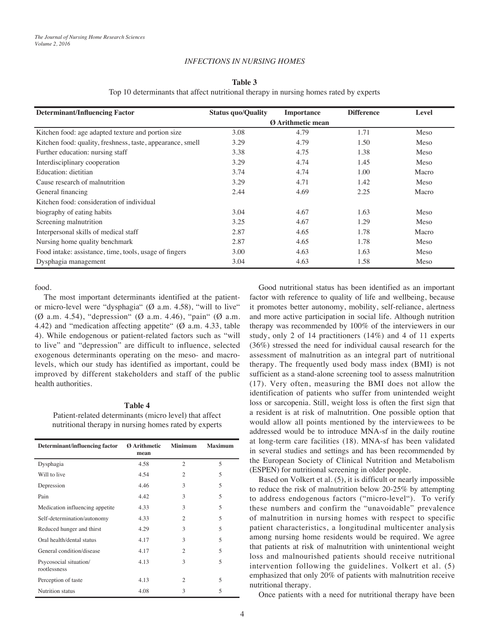## *INFECTIONS IN NURSING HOMES*

## **Table 3**

Top 10 determinants that affect nutritional therapy in nursing homes rated by experts

| <b>Determinant/Influencing Factor</b>                      | <b>Status quo/Quality</b> | <b>Importance</b>        | <b>Difference</b> | Level |
|------------------------------------------------------------|---------------------------|--------------------------|-------------------|-------|
|                                                            |                           | <b>Ø</b> Arithmetic mean |                   |       |
| Kitchen food: age adapted texture and portion size         | 3.08                      | 4.79                     | 1.71              | Meso  |
| Kitchen food: quality, freshness, taste, appearance, smell | 3.29                      | 4.79                     | 1.50              | Meso  |
| Further education: nursing staff                           | 3.38                      | 4.75                     | 1.38              | Meso  |
| Interdisciplinary cooperation                              | 3.29                      | 4.74                     | 1.45              | Meso  |
| Education: dietitian                                       | 3.74                      | 4.74                     | 1.00              | Macro |
| Cause research of malnutrition                             | 3.29                      | 4.71                     | 1.42              | Meso  |
| General financing                                          | 2.44                      | 4.69                     | 2.25              | Macro |
| Kitchen food: consideration of individual                  |                           |                          |                   |       |
| biography of eating habits                                 | 3.04                      | 4.67                     | 1.63              | Meso  |
| Screening malnutrition                                     | 3.25                      | 4.67                     | 1.29              | Meso  |
| Interpersonal skills of medical staff                      | 2.87                      | 4.65                     | 1.78              | Macro |
| Nursing home quality benchmark                             | 2.87                      | 4.65                     | 1.78              | Meso  |
| Food intake: assistance, time, tools, usage of fingers     | 3.00                      | 4.63                     | 1.63              | Meso  |
| Dysphagia management                                       | 3.04                      | 4.63                     | 1.58              | Meso  |

food.

The most important determinants identified at the patientor micro-level were "dysphagia" (Ø a.m. 4.58), "will to live" (Ø a.m. 4.54), "depression" (Ø a.m. 4.46), "pain" (Ø a.m. 4.42) and "medication affecting appetite" ( $\varnothing$  a.m. 4.33, table 4). While endogenous or patient-related factors such as "will to live" and "depression" are difficult to influence, selected exogenous determinants operating on the meso- and macrolevels, which our study has identified as important, could be improved by different stakeholders and staff of the public health authorities.

## **Table 4**

Patient-related determinants (micro level) that affect nutritional therapy in nursing homes rated by experts

| Determinant/influencing factor         | <b>Ø</b> Arithmetic<br>mean | <b>Minimum</b> | <b>Maximum</b> |
|----------------------------------------|-----------------------------|----------------|----------------|
| Dysphagia                              | 4.58                        | $\overline{2}$ | 5              |
| Will to live                           | 4.54                        | 2              | 5              |
| Depression                             | 4.46                        | 3              | 5              |
| Pain                                   | 4.42                        | 3              | 5              |
| Medication influencing appetite        | 4.33                        | 3              | 5              |
| Self-determination/autonomy            | 4.33                        | $\overline{2}$ | 5              |
| Reduced hunger and thirst              | 4.29                        | 3              | 5              |
| Oral health/dental status              | 4.17                        | 3              | 5              |
| General condition/disease              | 4.17                        | $\overline{2}$ | 5              |
| Psycosocial situation/<br>rootlessness | 4.13                        | 3              | 5              |
| Perception of taste                    | 4.13                        | $\overline{c}$ | 5              |
| Nutrition status                       | 4.08                        | 3              | 5              |

Good nutritional status has been identified as an important factor with reference to quality of life and wellbeing, because it promotes better autonomy, mobility, self-reliance, alertness and more active participation in social life. Although nutrition therapy was recommended by 100% of the interviewers in our study, only 2 of 14 practitioners (14%) and 4 of 11 experts (36%) stressed the need for individual causal research for the assessment of malnutrition as an integral part of nutritional therapy. The frequently used body mass index (BMI) is not sufficient as a stand-alone screening tool to assess malnutrition (17). Very often, measuring the BMI does not allow the identification of patients who suffer from unintended weight loss or sarcopenia. Still, weight loss is often the first sign that a resident is at risk of malnutrition. One possible option that would allow all points mentioned by the interviewees to be addressed would be to introduce MNA-sf in the daily routine at long-term care facilities (18). MNA-sf has been validated in several studies and settings and has been recommended by the European Society of Clinical Nutrition and Metabolism (ESPEN) for nutritional screening in older people.

Based on Volkert et al. (5), it is difficult or nearly impossible to reduce the risk of malnutrition below 20-25% by attempting to address endogenous factors ("micro-level"). To verify these numbers and confirm the "unavoidable" prevalence of malnutrition in nursing homes with respect to specific patient characteristics, a longitudinal multicenter analysis among nursing home residents would be required. We agree that patients at risk of malnutrition with unintentional weight loss and malnourished patients should receive nutritional intervention following the guidelines. Volkert et al. (5) emphasized that only 20% of patients with malnutrition receive nutritional therapy.

Once patients with a need for nutritional therapy have been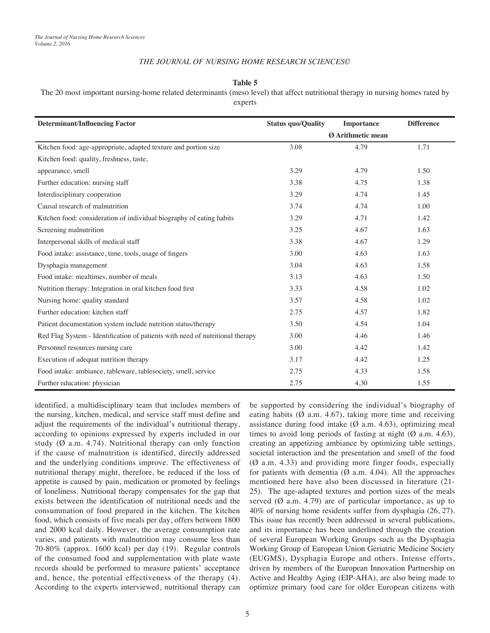## *THE JOURNAL OF NURSING HOME RESEARCH SCIENCES©*

#### **Table 5**

The 20 most important nursing-home related determinants (meso level) that affect nutritional therapy in nursing homes rated by

experts

| <b>Determinant/Influencing Factor</b>                                         | <b>Status quo/Quality</b> | <b>Importance</b> | <b>Difference</b> |
|-------------------------------------------------------------------------------|---------------------------|-------------------|-------------------|
|                                                                               | Ø Arithmetic mean         |                   |                   |
| Kitchen food: age-appropriate, adapted texture and portion size               | 3.08                      | 4.79              | 1.71              |
| Kitchen food: quality, freshness, taste,                                      |                           |                   |                   |
| appearance, smell                                                             | 3.29                      | 4.79              | 1.50              |
| Further education: nursing staff                                              | 3.38                      | 4.75              | 1.38              |
| Interdisciplinary cooperation                                                 | 3.29                      | 4.74              | 1.45              |
| Causal research of malnutrition                                               | 3.74                      | 4.74              | 1.00              |
| Kitchen food: consideration of individual biography of eating habits          | 3.29                      | 4.71              | 1.42              |
| Screening malnutrition                                                        | 3.25                      | 4.67              | 1.63              |
| Interpersonal skills of medical staff                                         | 3.38                      | 4.67              | 1.29              |
| Food intake: assistance, time, tools, usage of fingers                        | 3.00                      | 4.63              | 1.63              |
| Dysphagia management                                                          | 3.04                      | 4.63              | 1.58              |
| Food intake: mealtimes, number of meals                                       | 3.13                      | 4.63              | 1.50              |
| Nutrition therapy: Integration in oral kitchen food first                     | 3.33                      | 4.58              | 1.02              |
| Nursing home: quality standard                                                | 3.57                      | 4.58              | 1.02              |
| Further education: kitchen staff                                              | 2.75                      | 4.57              | 1.82              |
| Patient documentation system include nutrition status/therapy                 | 3.50                      | 4.54              | 1.04              |
| Red Flag System - Identification of patients with need of nutritional therapy | 3.00                      | 4.46              | 1.46              |
| Personnel resources nursing care                                              | 3.00                      | 4.42              | 1.42              |
| Execution of adequat nutrition therapy                                        | 3.17                      | 4.42              | 1.25              |
| Food intake: ambiance, tableware, tablesociety, smell, service                | 2.75                      | 4.33              | 1.58              |
| Further education: physician                                                  | 2.75                      | 4.30              | 1.55              |

identified, a multidisciplinary team that includes members of the nursing, kitchen, medical, and service staff must define and adjust the requirements of the individual's nutritional therapy, according to opinions expressed by experts included in our study ( $\emptyset$  a.m. 4.74). Nutritional therapy can only function if the cause of malnutrition is identified, directly addressed and the underlying conditions improve. The effectiveness of nutritional therapy might, therefore, be reduced if the loss of appetite is caused by pain, medication or promoted by feelings of loneliness. Nutritional therapy compensates for the gap that exists between the identification of nutritional needs and the consummation of food prepared in the kitchen. The kitchen food, which consists of five meals per day, offers between 1800 and 2000 kcal daily. However, the average consumption rate varies, and patients with malnutrition may consume less than 70-80% (approx. 1600 kcal) per day (19). Regular controls of the consumed food and supplementation with plate waste records should be performed to measure patients' acceptance and, hence, the potential effectiveness of the therapy (4). According to the experts interviewed, nutritional therapy can

be supported by considering the individual's biography of eating habits  $(Ø$  a.m. 4.67), taking more time and receiving assistance during food intake  $(Ø$  a.m. 4.63), optimizing meal times to avoid long periods of fasting at night  $(\emptyset$  a.m. 4.63), creating an appetizing ambiance by optimizing table settings, societal interaction and the presentation and smell of the food (Ø a.m. 4.33) and providing more finger foods, especially for patients with dementia  $(\emptyset$  a.m. 4.04). All the approaches mentioned here have also been discussed in literature (21- 25). The age-adapted textures and portion sizes of the meals served  $(\emptyset$  a.m. 4.79) are of particular importance, as up to 40% of nursing home residents suffer from dysphagia (26, 27). This issue has recently been addressed in several publications, and its importance has been underlined through the creation of several European Working Groups such as the Dysphagia Working Group of European Union Geriatric Medicine Society (EUGMS), Dysphagia Europe and others. Intense efforts, driven by members of the European Innovation Partnership on Active and Healthy Aging (EIP-AHA), are also being made to optimize primary food care for older European citizens with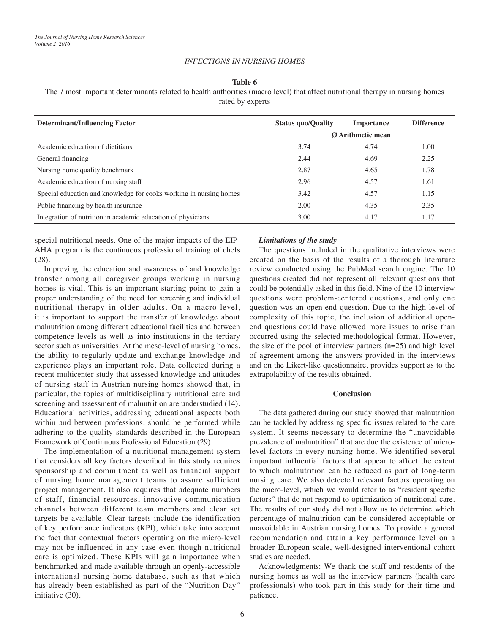## *INFECTIONS IN NURSING HOMES*

#### **Table 6**

The 7 most important determinants related to health authorities (macro level) that affect nutritional therapy in nursing homes

|  | rated by experts |  |
|--|------------------|--|
|  |                  |  |

| <b>Determinant/Influencing Factor</b>                              | <b>Status quo/Quality</b> | <b>Importance</b> | <b>Difference</b> |
|--------------------------------------------------------------------|---------------------------|-------------------|-------------------|
|                                                                    | <b>Ø</b> Arithmetic mean  |                   |                   |
| Academic education of dietitians                                   | 3.74                      | 4.74              | 1.00              |
| General financing                                                  | 2.44                      | 4.69              | 2.25              |
| Nursing home quality benchmark                                     | 2.87                      | 4.65              | 1.78              |
| Academic education of nursing staff                                | 2.96                      | 4.57              | 1.61              |
| Special education and knowledge for cooks working in nursing homes | 3.42                      | 4.57              | 1.15              |
| Public financing by health insurance                               | 2.00                      | 4.35              | 2.35              |
| Integration of nutrition in academic education of physicians       | 3.00                      | 4.17              | 1.17              |

special nutritional needs. One of the major impacts of the EIP-AHA program is the continuous professional training of chefs (28).

Improving the education and awareness of and knowledge transfer among all caregiver groups working in nursing homes is vital. This is an important starting point to gain a proper understanding of the need for screening and individual nutritional therapy in older adults. On a macro-level, it is important to support the transfer of knowledge about malnutrition among different educational facilities and between competence levels as well as into institutions in the tertiary sector such as universities. At the meso-level of nursing homes, the ability to regularly update and exchange knowledge and experience plays an important role. Data collected during a recent multicenter study that assessed knowledge and attitudes of nursing staff in Austrian nursing homes showed that, in particular, the topics of multidisciplinary nutritional care and screening and assessment of malnutrition are understudied (14). Educational activities, addressing educational aspects both within and between professions, should be performed while adhering to the quality standards described in the European Framework of Continuous Professional Education (29).

The implementation of a nutritional management system that considers all key factors described in this study requires sponsorship and commitment as well as financial support of nursing home management teams to assure sufficient project management. It also requires that adequate numbers of staff, financial resources, innovative communication channels between different team members and clear set targets be available. Clear targets include the identification of key performance indicators (KPI), which take into account the fact that contextual factors operating on the micro-level may not be influenced in any case even though nutritional care is optimized. These KPIs will gain importance when benchmarked and made available through an openly-accessible international nursing home database, such as that which has already been established as part of the "Nutrition Day" initiative (30).

#### *Limitations of the study*

The questions included in the qualitative interviews were created on the basis of the results of a thorough literature review conducted using the PubMed search engine. The 10 questions created did not represent all relevant questions that could be potentially asked in this field. Nine of the 10 interview questions were problem-centered questions, and only one question was an open-end question. Due to the high level of complexity of this topic, the inclusion of additional openend questions could have allowed more issues to arise than occurred using the selected methodological format. However, the size of the pool of interview partners  $(n=25)$  and high level of agreement among the answers provided in the interviews and on the Likert-like questionnaire, provides support as to the extrapolability of the results obtained.

## **Conclusion**

The data gathered during our study showed that malnutrition can be tackled by addressing specific issues related to the care system. It seems necessary to determine the "unavoidable prevalence of malnutrition" that are due the existence of microlevel factors in every nursing home. We identified several important influential factors that appear to affect the extent to which malnutrition can be reduced as part of long-term nursing care. We also detected relevant factors operating on the micro-level, which we would refer to as "resident specific factors" that do not respond to optimization of nutritional care. The results of our study did not allow us to determine which percentage of malnutrition can be considered acceptable or unavoidable in Austrian nursing homes. To provide a general recommendation and attain a key performance level on a broader European scale, well-designed interventional cohort studies are needed.

Acknowledgments: We thank the staff and residents of the nursing homes as well as the interview partners (health care professionals) who took part in this study for their time and patience.